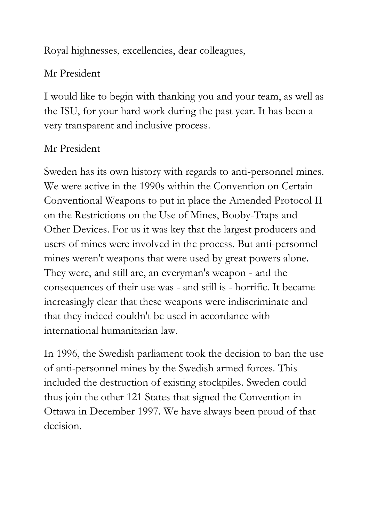Royal highnesses, excellencies, dear colleagues,

## Mr President

I would like to begin with thanking you and your team, as well as the ISU, for your hard work during the past year. It has been a very transparent and inclusive process.

## Mr President

Sweden has its own history with regards to anti-personnel mines. We were active in the 1990s within the Convention on Certain Conventional Weapons to put in place the Amended Protocol II on the Restrictions on the Use of Mines, Booby-Traps and Other Devices. For us it was key that the largest producers and users of mines were involved in the process. But anti-personnel mines weren't weapons that were used by great powers alone. They were, and still are, an everyman's weapon - and the consequences of their use was - and still is - horrific. It became increasingly clear that these weapons were indiscriminate and that they indeed couldn't be used in accordance with international humanitarian law.

In 1996, the Swedish parliament took the decision to ban the use of anti-personnel mines by the Swedish armed forces. This included the destruction of existing stockpiles. Sweden could thus join the other 121 States that signed the Convention in Ottawa in December 1997. We have always been proud of that decision.